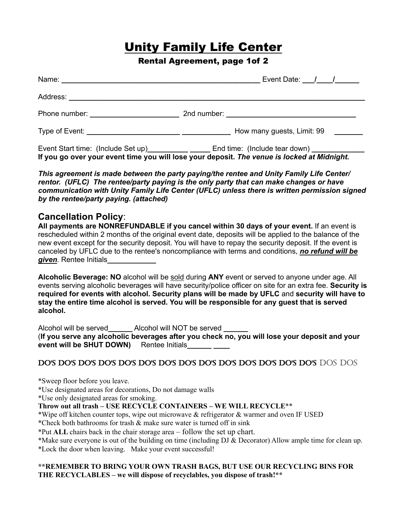# Unity Family Life Center

## Rental Agreement, page 1of 2

| Name: Name: Name: Name: Name: Name: Name: Name: Name: Name: Name: Name: Name: Name: Name: Name: Name: Name: Name: Name: Name: Name: Name: Name: Name: Name: Name: Name: Name: Name: Name: Name: Name: Name: Name: Name: Name: |  | Event Date: $\frac{1}{1}$  |  |  |
|-------------------------------------------------------------------------------------------------------------------------------------------------------------------------------------------------------------------------------|--|----------------------------|--|--|
|                                                                                                                                                                                                                               |  |                            |  |  |
|                                                                                                                                                                                                                               |  |                            |  |  |
|                                                                                                                                                                                                                               |  | How many guests, Limit: 99 |  |  |
| Event Start time: (Include Set up) ________________________End time: (Include tear down) _____________________<br>If you go over your event time you will lose your deposit. The venue is locked at Midnight.                 |  |                            |  |  |

*This agreement is made between the party paying/the rentee and Unity Family Life Center/ rentor. (UFLC) The rentee/party paying is the only party that can make changes or have communication with Unity Family Life Center (UFLC) unless there is written permission signed by the rentee/party paying. (attached)*

# **Cancellation Policy**:

| All payments are NONREFUNDABLE if you cancel within 30 days of your event. If an event is               |
|---------------------------------------------------------------------------------------------------------|
| rescheduled within 2 months of the original event date, deposits will be applied to the balance of the  |
| new event except for the security deposit. You will have to repay the security deposit. If the event is |
| canceled by UFLC due to the rentee's noncompliance with terms and conditions, no refund will be         |
| given. Rentee Initials                                                                                  |

**Alcoholic Beverage: NO** alcohol will be sold during **ANY** event or served to anyone under age. All events serving alcoholic beverages will have security/police officer on site for an extra fee. **Security is required for events with alcohol. Security plans will be made by UFLC** and **security will have to stay the entire time alcohol is served. You will be responsible for any guest that is served alcohol.**

Alcohol will be served**\_\_\_\_\_\_** Alcohol will NOT be served **\_\_\_\_\_\_** (**If you serve any alcoholic beverages after you check no, you will lose your deposit and your event will be SHUT DOWN)** Rentee Initials

# DO'S DO'S DO'S DO'S DO'S DO'S DO'S DO'S DO'S DO'S DO'S DO'S DO'S DO'S DOS DOS

\*Sweep floor before you leave.

\*Use designated areas for decorations, Do not damage walls

\*Use only designated areas for smoking.

**Throw out all trash – USE RECYCLE CONTAINERS – WE WILL RECYCLE**\*\*

\*Wipe off kitchen counter tops, wipe out microwave & refrigerator & warmer and oven IF USED

\*Check both bathrooms for trash & make sure water is turned off in sink

\*Put **ALL** chairs back in the chair storage area – follow the set up chart.

\*Lock the door when leaving. Make your event successful!

#### **\*\*REMEMBER TO BRING YOUR OWN TRASH BAGS, BUT USE OUR RECYCLING BINS FOR THE RECYCLABLES – we will dispose of recyclables, you dispose of trash!\*\***